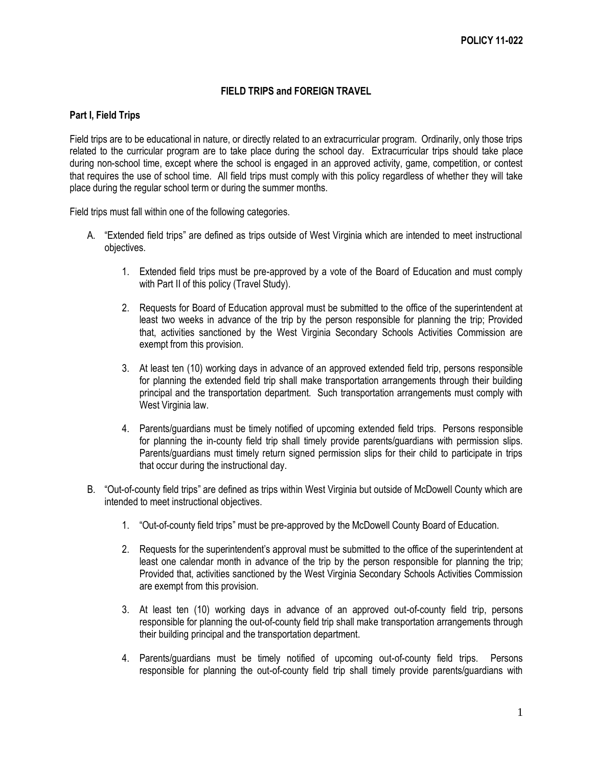## **FIELD TRIPS and FOREIGN TRAVEL**

## **Part I, Field Trips**

Field trips are to be educational in nature, or directly related to an extracurricular program. Ordinarily, only those trips related to the curricular program are to take place during the school day. Extracurricular trips should take place during non-school time, except where the school is engaged in an approved activity, game, competition, or contest that requires the use of school time. All field trips must comply with this policy regardless of whether they will take place during the regular school term or during the summer months.

Field trips must fall within one of the following categories.

- A. "Extended field trips" are defined as trips outside of West Virginia which are intended to meet instructional objectives.
	- 1. Extended field trips must be pre-approved by a vote of the Board of Education and must comply with Part II of this policy (Travel Study).
	- 2. Requests for Board of Education approval must be submitted to the office of the superintendent at least two weeks in advance of the trip by the person responsible for planning the trip; Provided that, activities sanctioned by the West Virginia Secondary Schools Activities Commission are exempt from this provision.
	- 3. At least ten (10) working days in advance of an approved extended field trip, persons responsible for planning the extended field trip shall make transportation arrangements through their building principal and the transportation department. Such transportation arrangements must comply with West Virginia law.
	- 4. Parents/guardians must be timely notified of upcoming extended field trips. Persons responsible for planning the in-county field trip shall timely provide parents/guardians with permission slips. Parents/guardians must timely return signed permission slips for their child to participate in trips that occur during the instructional day.
- B. "Out-of-county field trips" are defined as trips within West Virginia but outside of McDowell County which are intended to meet instructional objectives.
	- 1. "Out-of-county field trips" must be pre-approved by the McDowell County Board of Education.
	- 2. Requests for the superintendent's approval must be submitted to the office of the superintendent at least one calendar month in advance of the trip by the person responsible for planning the trip; Provided that, activities sanctioned by the West Virginia Secondary Schools Activities Commission are exempt from this provision.
	- 3. At least ten (10) working days in advance of an approved out-of-county field trip, persons responsible for planning the out-of-county field trip shall make transportation arrangements through their building principal and the transportation department.
	- 4. Parents/guardians must be timely notified of upcoming out-of-county field trips. Persons responsible for planning the out-of-county field trip shall timely provide parents/guardians with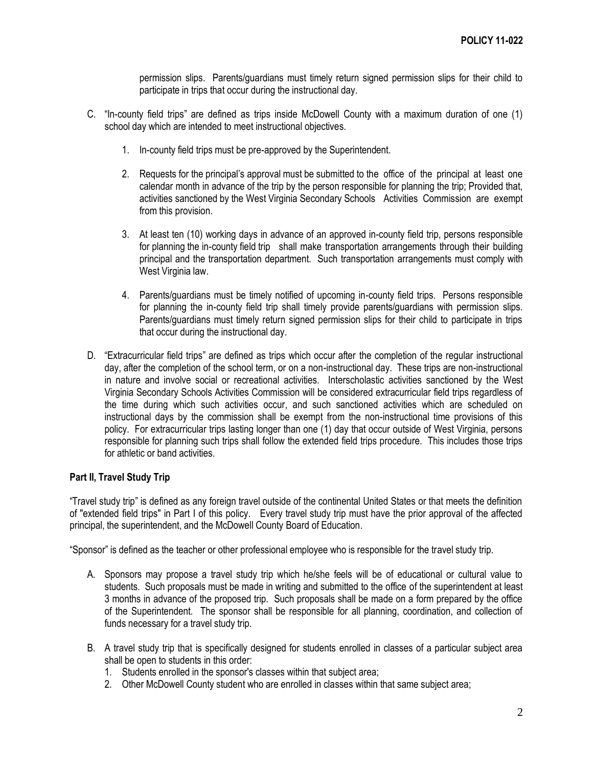permission slips. Parents/guardians must timely return signed permission slips for their child to participate in trips that occur during the instructional day.

- C. "In-county field trips" are defined as trips inside McDowell County with a maximum duration of one (1) school day which are intended to meet instructional objectives.
	- 1. In-county field trips must be pre-approved by the Superintendent.
	- 2. Requests for the principal's approval must be submitted to the office of the principal at least one calendar month in advance of the trip by the person responsible for planning the trip; Provided that, activities sanctioned by the West Virginia Secondary Schools Activities Commission are exempt from this provision.
	- 3. At least ten (10) working days in advance of an approved in-county field trip, persons responsible for planning the in-county field trip shall make transportation arrangements through their building principal and the transportation department. Such transportation arrangements must comply with West Virginia law.
	- 4. Parents/guardians must be timely notified of upcoming in-county field trips. Persons responsible for planning the in-county field trip shall timely provide parents/guardians with permission slips. Parents/guardians must timely return signed permission slips for their child to participate in trips that occur during the instructional day.
- D. "Extracurricular field trips" are defined as trips which occur after the completion of the regular instructional day, after the completion of the school term, or on a non-instructional day. These trips are non-instructional in nature and involve social or recreational activities. Interscholastic activities sanctioned by the West Virginia Secondary Schools Activities Commission will be considered extracurricular field trips regardless of the time during which such activities occur, and such sanctioned activities which are scheduled on instructional days by the commission shall be exempt from the non-instructional time provisions of this policy. For extracurricular trips lasting longer than one (1) day that occur outside of West Virginia, persons responsible for planning such trips shall follow the extended field trips procedure. This includes those trips for athletic or band activities.

## **Part II, Travel Study Trip**

"Travel study trip" is defined as any foreign travel outside of the continental United States or that meets the definition of "extended field trips" in Part I of this policy. Every travel study trip must have the prior approval of the affected principal, the superintendent, and the McDowell County Board of Education.

"Sponsor" is defined as the teacher or other professional employee who is responsible for the travel study trip.

- A. Sponsors may propose a travel study trip which he/she feels will be of educational or cultural value to students. Such proposals must be made in writing and submitted to the office of the superintendent at least 3 months in advance of the proposed trip. Such proposals shall be made on a form prepared by the office of the Superintendent. The sponsor shall be responsible for all planning, coordination, and collection of funds necessary for a travel study trip.
- B. A travel study trip that is specifically designed for students enrolled in classes of a particular subject area shall be open to students in this order:
	- 1. Students enrolled in the sponsor's classes within that subject area;
	- 2. Other McDowell County student who are enrolled in classes within that same subject area;